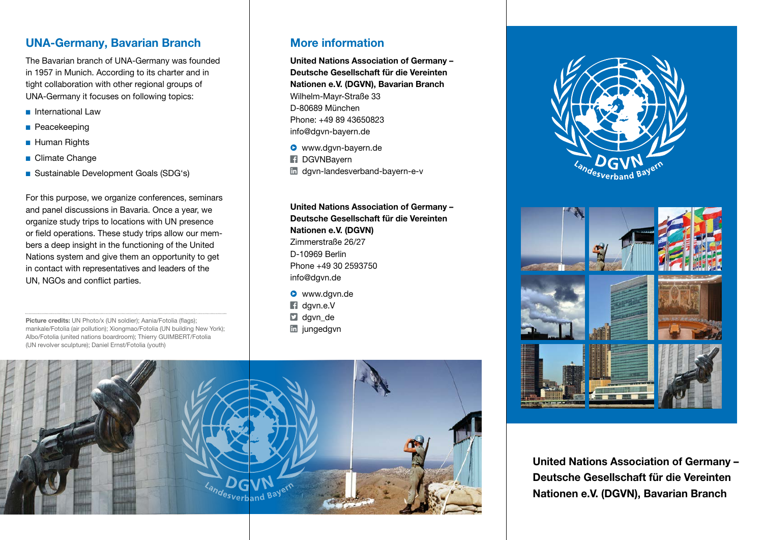### UNA-Germany, Bavarian Branch

The Bavarian branch of UNA-Germany was founded in 1957 in Munich. According to its charter and in tight collaboration with other regional groups of UNA-Germany it focuses on following topics:

- n International Law
- **n** Peacekeeping
- **Human Rights**
- Climate Change
- Sustainable Development Goals (SDG's)

For this purpose, we organize conferences, seminars and panel discussions in Bavaria. Once a year, we organize study trips to locations with UN presence or field operations. These study trips allow our members a deep insight in the functioning of the United Nations system and give them an opportunity to get in contact with representatives and leaders of the UN, NGOs and conflict parties.

Picture credits: UN Photo/x (UN soldier); Aania/Fotolia (flags); mankale/Fotolia (air pollution); Xiongmao/Fotolia (UN building New York); Albo/Fotolia (united nations boardroom); Thierry GUIMBERT/Fotolia (UN revolver sculpture); Daniel Ernst/Fotolia (youth)

#### More information

United Nations Association of Germany – Deutsche Gesellschaft für die Vereinten Nationen e.V. (DGVN), Bavarian Branch Wilhelm-Mayr-Straße 33 D-80689 München Phone: +49 89 43650823 info@dgvn-bayern.de

**•** www.dgvn-bayern.de **E** DGVNBavern m dgvn-landesverband-bayern-e-v

United Nations Association of Germany – Deutsche Gesellschaft für die Vereinten Nationen e.V. (DGVN) Zimmerstraße 26/27 D-10969 Berlin Phone +49 30 2593750 info@dgvn.de

**•** www.dgvn.de dgvn.e.V  $\Box$  davn de **in** jungedgvn







United Nations Association of Germany – Deutsche Gesellschaft für die Vereinten Nationen e.V. (DGVN), Bavarian Branch